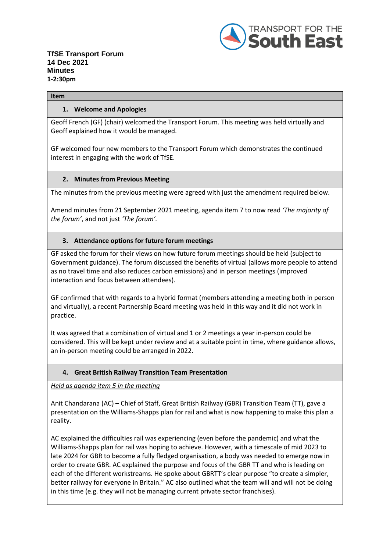

#### **Item**

### **1. Welcome and Apologies**

Geoff French (GF) (chair) welcomed the Transport Forum. This meeting was held virtually and Geoff explained how it would be managed.

GF welcomed four new members to the Transport Forum which demonstrates the continued interest in engaging with the work of TfSE.

### **2. Minutes from Previous Meeting**

The minutes from the previous meeting were agreed with just the amendment required below.

Amend minutes from 21 September 2021 meeting, agenda item 7 to now read *'The majority of the forum'*, and not just *'The forum'.*

### **3. Attendance options for future forum meetings**

GF asked the forum for their views on how future forum meetings should be held (subject to Government guidance). The forum discussed the benefits of virtual (allows more people to attend as no travel time and also reduces carbon emissions) and in person meetings (improved interaction and focus between attendees).

GF confirmed that with regards to a hybrid format (members attending a meeting both in person and virtually), a recent Partnership Board meeting was held in this way and it did not work in practice.

It was agreed that a combination of virtual and 1 or 2 meetings a year in-person could be considered. This will be kept under review and at a suitable point in time, where guidance allows, an in-person meeting could be arranged in 2022.

### **4. Great British Railway Transition Team Presentation**

*Held as agenda item 5 in the meeting*

Anit Chandarana (AC) – Chief of Staff, Great British Railway (GBR) Transition Team (TT), gave a presentation on the Williams-Shapps plan for rail and what is now happening to make this plan a reality.

AC explained the difficulties rail was experiencing (even before the pandemic) and what the Williams-Shapps plan for rail was hoping to achieve. However, with a timescale of mid 2023 to late 2024 for GBR to become a fully fledged organisation, a body was needed to emerge now in order to create GBR. AC explained the purpose and focus of the GBR TT and who is leading on each of the different workstreams. He spoke about GBRTT's clear purpose "to create a simpler, better railway for everyone in Britain." AC also outlined what the team will and will not be doing in this time (e.g. they will not be managing current private sector franchises).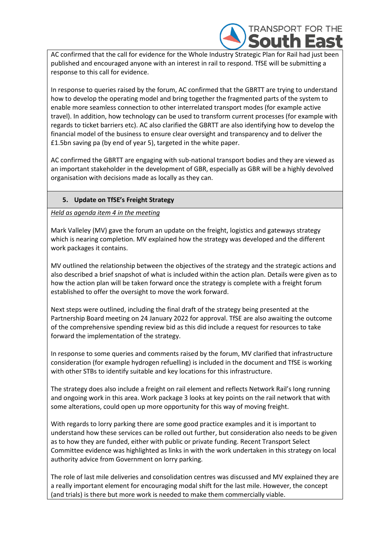

AC confirmed that the call for evidence for the Whole Industry Strategic Plan for Rail had just been published and encouraged anyone with an interest in rail to respond. TfSE will be submitting a response to this call for evidence.

In response to queries raised by the forum, AC confirmed that the GBRTT are trying to understand how to develop the operating model and bring together the fragmented parts of the system to enable more seamless connection to other interrelated transport modes (for example active travel). In addition, how technology can be used to transform current processes (for example with regards to ticket barriers etc). AC also clarified the GBRTT are also identifying how to develop the financial model of the business to ensure clear oversight and transparency and to deliver the £1.5bn saving pa (by end of year 5), targeted in the white paper.

AC confirmed the GBRTT are engaging with sub-national transport bodies and they are viewed as an important stakeholder in the development of GBR, especially as GBR will be a highly devolved organisation with decisions made as locally as they can.

## **5. Update on TfSE's Freight Strategy**

*Held as agenda item 4 in the meeting*

Mark Valleley (MV) gave the forum an update on the freight, logistics and gateways strategy which is nearing completion. MV explained how the strategy was developed and the different work packages it contains.

MV outlined the relationship between the objectives of the strategy and the strategic actions and also described a brief snapshot of what is included within the action plan. Details were given as to how the action plan will be taken forward once the strategy is complete with a freight forum established to offer the oversight to move the work forward.

Next steps were outlined, including the final draft of the strategy being presented at the Partnership Board meeting on 24 January 2022 for approval. TfSE are also awaiting the outcome of the comprehensive spending review bid as this did include a request for resources to take forward the implementation of the strategy.

In response to some queries and comments raised by the forum, MV clarified that infrastructure consideration (for example hydrogen refuelling) is included in the document and TfSE is working with other STBs to identify suitable and key locations for this infrastructure.

The strategy does also include a freight on rail element and reflects Network Rail's long running and ongoing work in this area. Work package 3 looks at key points on the rail network that with some alterations, could open up more opportunity for this way of moving freight.

With regards to lorry parking there are some good practice examples and it is important to understand how these services can be rolled out further, but consideration also needs to be given as to how they are funded, either with public or private funding. Recent Transport Select Committee evidence was highlighted as links in with the work undertaken in this strategy on local authority advice from Government on lorry parking.

The role of last mile deliveries and consolidation centres was discussed and MV explained they are a really important element for encouraging modal shift for the last mile. However, the concept (and trials) is there but more work is needed to make them commercially viable.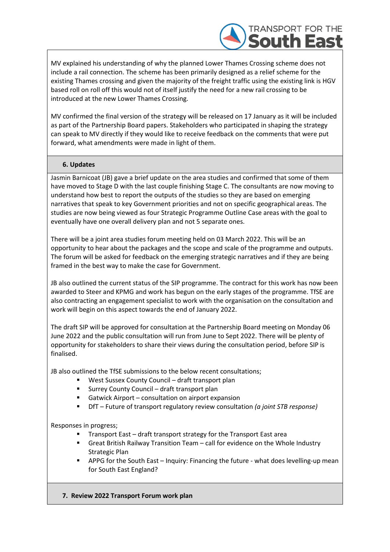

MV explained his understanding of why the planned Lower Thames Crossing scheme does not include a rail connection. The scheme has been primarily designed as a relief scheme for the existing Thames crossing and given the majority of the freight traffic using the existing link is HGV based roll on roll off this would not of itself justify the need for a new rail crossing to be introduced at the new Lower Thames Crossing.

MV confirmed the final version of the strategy will be released on 17 January as it will be included as part of the Partnership Board papers. Stakeholders who participated in shaping the strategy can speak to MV directly if they would like to receive feedback on the comments that were put forward, what amendments were made in light of them.

## **6. Updates**

Jasmin Barnicoat (JB) gave a brief update on the area studies and confirmed that some of them have moved to Stage D with the last couple finishing Stage C. The consultants are now moving to understand how best to report the outputs of the studies so they are based on emerging narratives that speak to key Government priorities and not on specific geographical areas. The studies are now being viewed as four Strategic Programme Outline Case areas with the goal to eventually have one overall delivery plan and not 5 separate ones.

There will be a joint area studies forum meeting held on 03 March 2022. This will be an opportunity to hear about the packages and the scope and scale of the programme and outputs. The forum will be asked for feedback on the emerging strategic narratives and if they are being framed in the best way to make the case for Government.

JB also outlined the current status of the SIP programme. The contract for this work has now been awarded to Steer and KPMG and work has begun on the early stages of the programme. TfSE are also contracting an engagement specialist to work with the organisation on the consultation and work will begin on this aspect towards the end of January 2022.

The draft SIP will be approved for consultation at the Partnership Board meeting on Monday 06 June 2022 and the public consultation will run from June to Sept 2022. There will be plenty of opportunity for stakeholders to share their views during the consultation period, before SIP is finalised.

JB also outlined the TfSE submissions to the below recent consultations;

- West Sussex County Council draft transport plan
- Surrey County Council draft transport plan
- Gatwick Airport consultation on airport expansion
- DfT Future of transport regulatory review consultation *(a joint STB response)*

Responses in progress;

- Transport East draft transport strategy for the Transport East area
- Great British Railway Transition Team call for evidence on the Whole Industry Strategic Plan
- **■** APPG for the South East Inquiry: Financing the future what does levelling-up mean for South East England?
- **7. Review 2022 Transport Forum work plan**